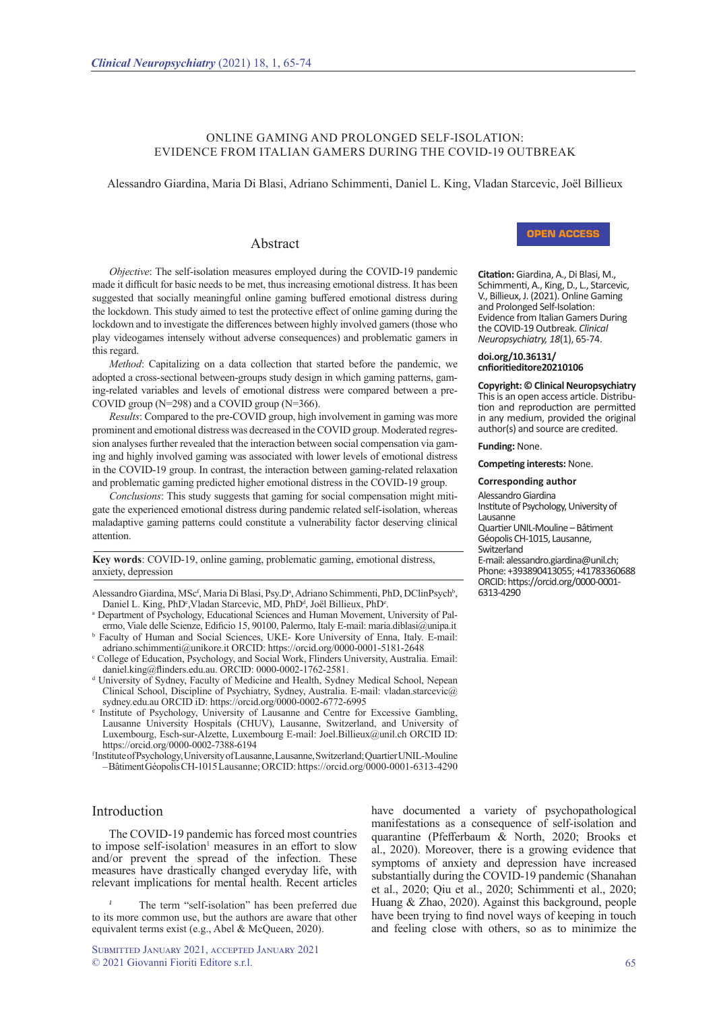# ONLINE GAMING AND PROLONGED SELF-ISOLATION: EVIDENCE FROM ITALIAN GAMERS DURING THE COVID-19 OUTBREAK

Alessandro Giardina, Maria Di Blasi, Adriano Schimmenti, Daniel L. King, Vladan Starcevic, Joël Billieux

# Abstract

*Objective*: The self-isolation measures employed during the COVID-19 pandemic made it difficult for basic needs to be met, thus increasing emotional distress. It has been suggested that socially meaningful online gaming buffered emotional distress during the lockdown. This study aimed to test the protective effect of online gaming during the lockdown and to investigate the differences between highly involved gamers (those who play videogames intensely without adverse consequences) and problematic gamers in this regard.

*Method*: Capitalizing on a data collection that started before the pandemic, we adopted a cross-sectional between-groups study design in which gaming patterns, gaming-related variables and levels of emotional distress were compared between a pre-COVID group (N=298) and a COVID group (N=366).

*Results*: Compared to the pre-COVID group, high involvement in gaming was more prominent and emotional distress was decreased in the COVID group. Moderated regression analyses further revealed that the interaction between social compensation via gaming and highly involved gaming was associated with lower levels of emotional distress in the COVID-19 group. In contrast, the interaction between gaming-related relaxation and problematic gaming predicted higher emotional distress in the COVID-19 group.

*Conclusions*: This study suggests that gaming for social compensation might mitigate the experienced emotional distress during pandemic related self-isolation, whereas maladaptive gaming patterns could constitute a vulnerability factor deserving clinical attention.

**Key words**: COVID-19, online gaming, problematic gaming, emotional distress, anxiety, depression

Alessandro Giardina, MSc<sup>f</sup>, Maria Di Blasi, Psy.D<sup>a</sup>, Adriano Schimmenti, PhD, DClinPsych<sup>b</sup>, Daniel L. King, PhD<sup>e</sup>, Vladan Starcevic, MD, PhD<sup>d</sup>, Joël Billieux, PhD<sup>e</sup>.

- a Department of Psychology, Educational Sciences and Human Movement, University of Palermo, Viale delle Scienze, Edificio 15, 90100, Palermo, Italy E-mail: maria.diblasi@unipa.it b Faculty of Human and Social Sciences, UKE- Kore University of Enna, Italy. E-mail:
- adriano.schimmenti@unikore.it ORCID: https://orcid.org/0000-0001-5181-2648 c College of Education, Psychology, and Social Work, Flinders University, Australia. Email:
- daniel.king@flinders.edu.au. ORCID: 0000-0002-1762-2581.
- <sup>d</sup> University of Sydney, Faculty of Medicine and Health, Sydney Medical School, Nepean Clinical School, Discipline of Psychiatry, Sydney, Australia. E-mail: vladan.starcevic@ sydney.edu.au ORCID iD: https://orcid.org/0000-0002-6772-6995
- e Institute of Psychology, University of Lausanne and Centre for Excessive Gambling, Lausanne University Hospitals (CHUV), Lausanne, Switzerland, and University of Luxembourg, Esch-sur-Alzette, Luxembourg E-mail: Joel.Billieux@unil.ch ORCID ID: https://orcid.org/0000-0002-7388-6194

f Institute of Psychology, University of Lausanne, Lausanne, Switzerland; Quartier UNIL-Mouline – Bâtiment Géopolis CH-1015 Lausanne; ORCID: https://orcid.org/0000-0001-6313-4290

# Introduction

The COVID-19 pandemic has forced most countries to impose self-isolation<sup>1</sup> measures in an effort to slow and/or prevent the spread of the infection. These measures have drastically changed everyday life, with relevant implications for mental health. Recent articles

The term "self-isolation" has been preferred due to its more common use, but the authors are aware that other equivalent terms exist (e.g., Abel & McQueen, 2020).

Submitted January 2021, accepted January 2021 © 2021 Giovanni Fioriti Editore s.r.l. 65

have documented a variety of psychopathological manifestations as a consequence of self-isolation and quarantine (Pfefferbaum & North, 2020; Brooks et al., 2020). Moreover, there is a growing evidence that symptoms of anxiety and depression have increased substantially during the COVID-19 pandemic (Shanahan et al., 2020; Qiu et al., 2020; Schimmenti et al., 2020; Huang & Zhao, 2020). Against this background, people have been trying to find novel ways of keeping in touch and feeling close with others, so as to minimize the



**Citation:** Giardina, A., Di Blasi, M., Schimmenti, A., King, D., L., Starcevic, V., Billieux, J. (2021). Online Gaming and Prolonged Self-Isolation: Evidence from Italian Gamers During the COVID-19 Outbreak. *Clinical Neuropsychiatry, 18*(1), 65-74.

#### **doi.org/10.36131/ cnfioritieditore20210106**

**Copyright: © Clinical Neuropsychiatry** tion and reproduction are permitted in any medium, provided the original author(s) and source are credited.

**Funding:** None.

**Competing interests:** None.

### **Corresponding author**

Alessandro Giardina

Institute of Psychology, University of Lausanne

Quartier UNIL-Mouline – Bâtiment Géopolis CH-1015, Lausanne,

**Switzerland** 

E-mail: alessandro.giardina@unil.ch; Phone: +393890413055; +41783360688 ORCID: https://orcid.org/0000-0001- 6313-4290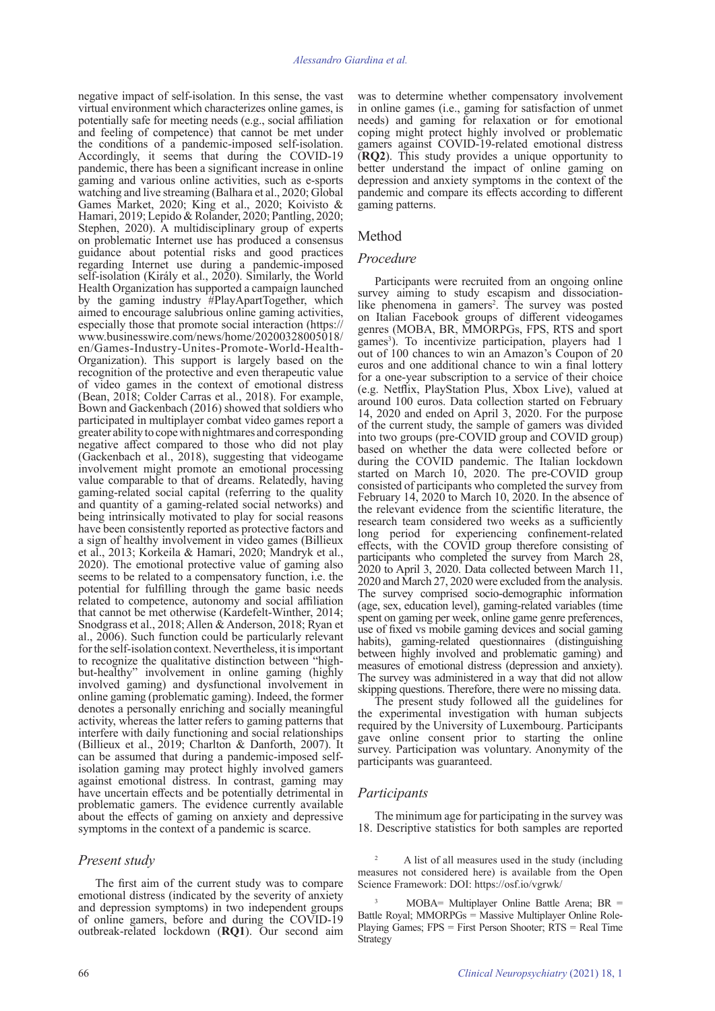negative impact of self-isolation. In this sense, the vast virtual environment which characterizes online games, is potentially safe for meeting needs (e.g., social affiliation and feeling of competence) that cannot be met under the conditions of a pandemic-imposed self-isolation. Accordingly, it seems that during the COVID-19 pandemic, there has been a significant increase in online gaming and various online activities, such as e-sports watching and live streaming (Balhara et al., 2020; Global Games Market, 2020; King et al., 2020; Koivisto & Hamari, 2019; Lepido & Rolander, 2020; Pantling, 2020; Stephen, 2020). A multidisciplinary group of experts on problematic Internet use has produced a consensus guidance about potential risks and good practices regarding Internet use during a pandemic-imposed self-isolation (Király et al., 2020). Similarly, the World Health Organization has supported a campaign launched by the gaming industry #PlayApartTogether, which aimed to encourage salubrious online gaming activities, especially those that promote social interaction (https:// www.businesswire.com/news/home/20200328005018/ en/Games-Industry-Unites-Promote-World-Health-Organization). This support is largely based on the recognition of the protective and even therapeutic value of video games in the context of emotional distress (Bean, 2018; Colder Carras et al., 2018). For example, Bown and Gackenbach (2016) showed that soldiers who participated in multiplayer combat video games report a greater ability to cope with nightmares and corresponding negative affect compared to those who did not play (Gackenbach et al., 2018), suggesting that videogame involvement might promote an emotional processing value comparable to that of dreams. Relatedly, having gaming-related social capital (referring to the quality and quantity of a gaming-related social networks) and being intrinsically motivated to play for social reasons have been consistently reported as protective factors and a sign of healthy involvement in video games (Billieux et al., 2013; Korkeila & Hamari, 2020; Mandryk et al., 2020). The emotional protective value of gaming also seems to be related to a compensatory function, i.e. the potential for fulfilling through the game basic needs related to competence, autonomy and social affiliation that cannot be met otherwise (Kardefelt-Winther, 2014; Snodgrass et al., 2018; Allen & Anderson, 2018; Ryan et al., 2006). Such function could be particularly relevant for the self-isolation context. Nevertheless, it is important to recognize the qualitative distinction between "highbut-healthy" involvement in online gaming (highly involved gaming) and dysfunctional involvement in online gaming (problematic gaming). Indeed, the former denotes a personally enriching and socially meaningful activity, whereas the latter refers to gaming patterns that interfere with daily functioning and social relationships (Billieux et al., 2019; Charlton & Danforth, 2007). It can be assumed that during a pandemic-imposed selfisolation gaming may protect highly involved gamers against emotional distress. In contrast, gaming may have uncertain effects and be potentially detrimental in problematic gamers. The evidence currently available about the effects of gaming on anxiety and depressive symptoms in the context of a pandemic is scarce.

# *Present study*

The first aim of the current study was to compare emotional distress (indicated by the severity of anxiety and depression symptoms) in two independent groups of online gamers, before and during the COVID-19 outbreak-related lockdown (**RQ1**). Our second aim

was to determine whether compensatory involvement in online games (i.e., gaming for satisfaction of unmet needs) and gaming for relaxation or for emotional coping might protect highly involved or problematic gamers against COVID-19-related emotional distress (**RQ2**). This study provides a unique opportunity to better understand the impact of online gaming on depression and anxiety symptoms in the context of the pandemic and compare its effects according to different gaming patterns.

### Method

#### *Procedure*

Participants were recruited from an ongoing online survey aiming to study escapism and dissociationlike phenomena in gamers<sup>2</sup>. The survey was posted on Italian Facebook groups of different videogames genres (MOBA, BR, MMORPGs, FPS, RTS and sport games<sup>3</sup>). To incentivize participation, players had 1 out of 100 chances to win an Amazon's Coupon of 20 euros and one additional chance to win a final lottery for a one-year subscription to a service of their choice (e.g. Netflix, PlayStation Plus, Xbox Live), valued at around 100 euros. Data collection started on February 14, 2020 and ended on April 3, 2020. For the purpose of the current study, the sample of gamers was divided into two groups (pre-COVID group and COVID group) based on whether the data were collected before or during the COVID pandemic. The Italian lockdown started on March 10, 2020. The pre-COVID group consisted of participants who completed the survey from February 14, 2020 to March 10, 2020. In the absence of the relevant evidence from the scientific literature, the research team considered two weeks as a sufficiently long period for experiencing confinement-related effects, with the COVID group therefore consisting of participants who completed the survey from March 28, 2020 to April 3, 2020. Data collected between March 11, 2020 and March 27, 2020 were excluded from the analysis. The survey comprised socio-demographic information (age, sex, education level), gaming-related variables (time spent on gaming per week, online game genre preferences, use of fixed vs mobile gaming devices and social gaming habits), gaming-related questionnaires (distinguishing between highly involved and problematic gaming) and measures of emotional distress (depression and anxiety). The survey was administered in a way that did not allow skipping questions. Therefore, there were no missing data.

The present study followed all the guidelines for the experimental investigation with human subjects required by the University of Luxembourg. Participants gave online consent prior to starting the online survey. Participation was voluntary. Anonymity of the participants was guaranteed.

#### *Participants*

The minimum age for participating in the survey was 18. Descriptive statistics for both samples are reported

<sup>2</sup> A list of all measures used in the study (including measures not considered here) is available from the Open Science Framework: DOI: https://osf.io/vgrwk/

 $MOBA=$  Multiplayer Online Battle Arena; BR = Battle Royal; MMORPGs = Massive Multiplayer Online Role-Playing Games; FPS = First Person Shooter; RTS = Real Time Strategy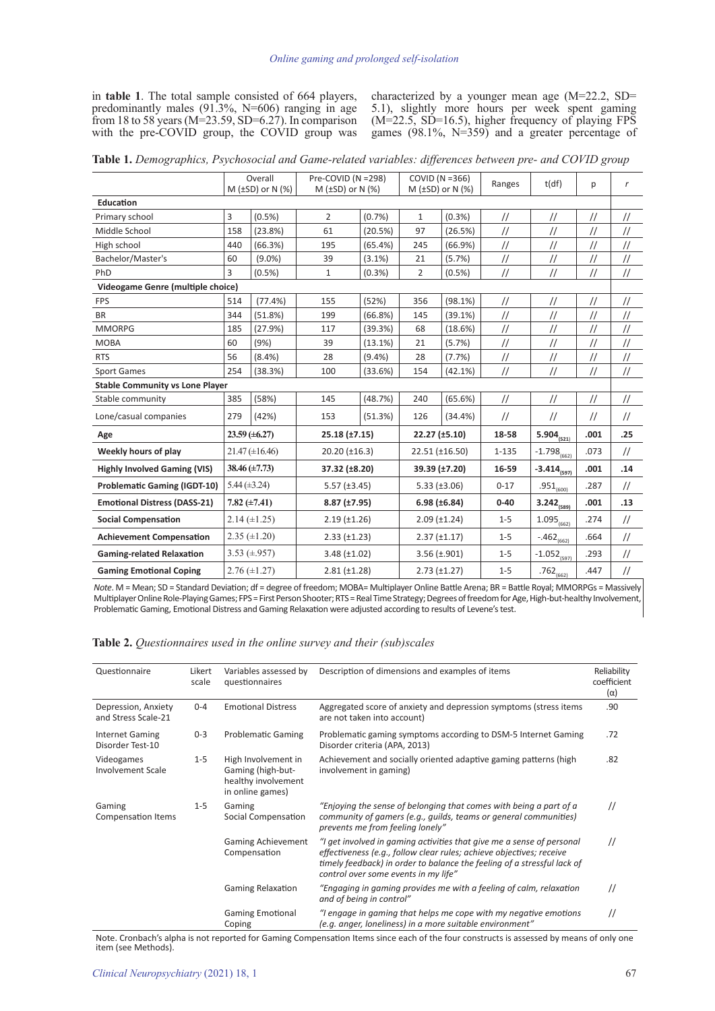in **table 1**. The total sample consisted of 664 players, predominantly males (91.3%, N=606) ranging in age from 18 to 58 years (M=23.59, SD=6.27). In comparison with the pre-COVID group, the COVID group was characterized by a younger mean age (M=22.2, SD= 5.1), slightly more hours per week spent gaming (M=22.5, SD=16.5), higher frequency of playing FPS games (98.1%, N=359) and a greater percentage of

|  |  |  | Table 1. Demographics, Psychosocial and Game-related variables: differences between pre- and COVID group |
|--|--|--|----------------------------------------------------------------------------------------------------------|
|  |  |  |                                                                                                          |

|                                        | Overall           |                          | Pre-COVID (N =298)             |                   | COVID ( $N = 366$ )  |                          | Ranges                                                       | t(df)                                                     | р                                                         | $\boldsymbol{r}$                                                      |
|----------------------------------------|-------------------|--------------------------|--------------------------------|-------------------|----------------------|--------------------------|--------------------------------------------------------------|-----------------------------------------------------------|-----------------------------------------------------------|-----------------------------------------------------------------------|
|                                        |                   | $M$ ( $\pm$ SD) or N (%) | $M$ ( $\pm$ SD) or N (%)       |                   |                      | M $(\pm SD)$ or N $(\%)$ |                                                              |                                                           |                                                           |                                                                       |
| <b>Education</b>                       |                   |                          |                                |                   |                      |                          |                                                              |                                                           |                                                           |                                                                       |
| Primary school                         | 3                 | (0.5%)                   | $\overline{2}$                 | (0.7%             | $\mathbf{1}$         | (0.3%                    | $\frac{1}{2}$                                                | $^{\prime\prime}$                                         | //                                                        | $^{\prime\prime}$                                                     |
| Middle School                          | 158               | (23.8%)                  | 61                             | (20.5%)           | 97                   | (26.5%)                  | $\ensuremath{\mathnormal{}}\slash\ensuremath{\mathnormal{}}$ | $\frac{1}{2}$                                             | $\mathcal{U}% _{M_{1},M_{2}}^{\alpha,\beta}(\varepsilon)$ | $\frac{1}{2}$                                                         |
| High school                            | 440               | (66.3%)                  | 195                            | (65.4%)           | 245                  | (66.9%)                  | $\frac{1}{2}$                                                | $\mathcal{U}% _{M_{1},M_{2}}^{\alpha,\beta}(\varepsilon)$ | $\ensuremath{\mathnormal{/\!/}}$                          | $\ensuremath{\mathnormal{}}\slash\ensuremath{\mathnormal{}}$          |
| Bachelor/Master's                      | 60                | $(9.0\%)$                | 39                             | $(3.1\%)$         | 21                   | (5.7%)                   | $\frac{1}{2}$                                                | $\ensuremath{\mathnormal{/\!/}}$                          | $\frac{1}{2}$                                             | $\ensuremath{\mathnormal{}}\xspace/\ensuremath{\mathnormal{}}\xspace$ |
| PhD                                    | 3                 | $(0.5\%)$                | $\mathbf{1}$                   | (0.3% )           | $\overline{2}$       | $(0.5\%)$                | $\frac{1}{2}$                                                | $\frac{1}{2}$                                             | $\frac{1}{2}$                                             | $\frac{1}{2}$                                                         |
| Videogame Genre (multiple choice)      |                   |                          |                                |                   |                      |                          |                                                              |                                                           |                                                           |                                                                       |
| <b>FPS</b>                             | 514               | (77.4% )                 | 155                            | (52%)             | 356                  | (98.1%)                  | $\frac{1}{2}$                                                | $\frac{1}{2}$                                             | $\frac{1}{2}$                                             | $\frac{1}{2}$                                                         |
| <b>BR</b>                              | 344               | (51.8%)                  | 199                            | $(66.8\%)$        | 145                  | (39.1%)                  | $\frac{1}{2}$                                                | $\ensuremath{\mathnormal{/\!/}}$                          | $\frac{1}{2}$                                             | $\ensuremath{\mathnormal{}}\slash\ensuremath{\mathnormal{}}$          |
| <b>MMORPG</b>                          | 185               | (27.9%)                  | 117                            | (39.3%)           | 68                   | $(18.6\%)$               | $\frac{1}{2}$                                                | $\frac{1}{2}$                                             | $\ensuremath{\mathnormal{/\!/}}$                          | $\ensuremath{\mathnormal{}}\slash\ensuremath{\mathnormal{}}$          |
| <b>MOBA</b>                            | 60                | (9%)                     | 39                             | (13.1%)           | 21                   | (5.7%)                   | $\frac{1}{2}$                                                | $\frac{1}{2}$                                             | $\frac{1}{2}$                                             | $\frac{1}{2}$                                                         |
| <b>RTS</b>                             | 56                | (8.4%)                   | 28                             | (9.4% )           | 28                   | (7.7%)                   | $\frac{1}{2}$                                                | $\frac{1}{2}$                                             | $\frac{1}{2}$                                             | $\frac{1}{2}$                                                         |
| <b>Sport Games</b>                     | 254               | (38.3%)                  | 100                            | (33.6%)           | 154                  | (42.1%)                  | $\frac{1}{2}$                                                | $\frac{1}{2}$                                             | $^{\prime\prime}$                                         | $\frac{1}{2}$                                                         |
| <b>Stable Community vs Lone Player</b> |                   |                          |                                |                   |                      |                          |                                                              |                                                           |                                                           |                                                                       |
| Stable community                       | 385               | (58%)                    | 145                            | (48.7%)           | 240                  | (65.6%)                  | $\frac{1}{2}$                                                | $\ensuremath{\mathnormal{/\!/}}$                          | $\ensuremath{\mathnormal{/\!/}}$                          | $\frac{1}{2}$                                                         |
| Lone/casual companies                  | 279               | (42%)                    | 153                            | (51.3%)           | 126                  | (34.4%)                  | $\frac{1}{2}$                                                | $\frac{1}{2}$                                             | $\frac{1}{2}$                                             | $\frac{1}{2}$                                                         |
| Age                                    |                   | $23.59 \ (\pm 6.27)$     | $25.18 (\pm 7.15)$             |                   | 22.27 (±5.10)        |                          | 18-58                                                        | $5.904_{(521)}$                                           | .001                                                      | .25                                                                   |
| Weekly hours of play                   |                   | $21.47 \ (\pm 16.46)$    | $20.20$ (±16.3)                |                   | 22.51 (±16.50)       |                          | $1 - 135$                                                    | $-1.798_{(662)}$                                          | .073                                                      | $\frac{1}{2}$                                                         |
| <b>Highly Involved Gaming (VIS)</b>    |                   | $38.46 \ (\pm 7.73)$     | 37.32 (±8.20)                  |                   | 39.39 (±7.20)        |                          | 16-59                                                        | $-3.414_{(597)}$                                          | .001                                                      | .14                                                                   |
| <b>Problematic Gaming (IGDT-10)</b>    | 5.44 $(\pm 3.24)$ |                          | $5.57$ ( $\pm 3.45$ )          |                   | $5.33 \ (\pm 3.06)$  |                          | $0 - 17$                                                     | $.951_{(600)}$                                            | .287                                                      | $\frac{1}{2}$                                                         |
| <b>Emotional Distress (DASS-21)</b>    |                   | 7.82 $(\pm 7.41)$        | $8.87 \left( \pm 7.95 \right)$ |                   | $6.98 (\pm 6.84)$    |                          | $0 - 40$                                                     | $3.242_{(589)}$                                           | .001                                                      | .13                                                                   |
| <b>Social Compensation</b>             |                   | $2.14 (\pm 1.25)$        | $2.19$ ( $\pm$ 1.26)           |                   | $2.09$ ( $\pm$ 1.24) |                          | $1 - 5$                                                      | $1.095_{(662)}$                                           | .274                                                      | $\frac{1}{2}$                                                         |
| <b>Achievement Compensation</b>        |                   | $2.35 (\pm 1.20)$        | $2.33 \ (\pm 1.23)$            |                   | $2.37 (\pm 1.17)$    |                          | $1 - 5$                                                      | $-.462_{(662)}$                                           | .664                                                      | $\frac{1}{2}$                                                         |
| <b>Gaming-related Relaxation</b>       |                   | 3.53 $(\pm .957)$        |                                | $3.48 (\pm 1.02)$ |                      | $3.56 \ (\pm .901)$      |                                                              | $-1.052_{(597)}$                                          | .293                                                      | $\frac{1}{2}$                                                         |
| <b>Gaming Emotional Coping</b>         | $2.76 (\pm 1.27)$ |                          | $2.81 (\pm 1.28)$              |                   | $2.73$ ( $\pm$ 1.27) |                          | $1 - 5$                                                      | $.762_{(662)}$                                            | .447                                                      | $\ensuremath{\mathnormal{}}\xspace/\ensuremath{\mathnormal{}}\xspace$ |

*Note*. M = Mean; SD = Standard Deviation; df = degree of freedom; MOBA= Multiplayer Online Battle Arena; BR = Battle Royal; MMORPGs = Massively Multiplayer Online Role-Playing Games; FPS = First Person Shooter; RTS = Real Time Strategy; Degrees of freedom for Age, High-but-healthy Involvement, Problematic Gaming, Emotional Distress and Gaming Relaxation were adjusted according to results of Levene's test.

| <b>Table 2.</b> Questionnaires used in the online survey and their (sub) scales |  |  |  |
|---------------------------------------------------------------------------------|--|--|--|
|---------------------------------------------------------------------------------|--|--|--|

| Questionnaire                              | Likert<br>scale | Variables assessed by<br>questionnaires                                             | Description of dimensions and examples of items                                                                                                                                                                                                                  | Reliability<br>coefficient<br>$(\alpha)$ |
|--------------------------------------------|-----------------|-------------------------------------------------------------------------------------|------------------------------------------------------------------------------------------------------------------------------------------------------------------------------------------------------------------------------------------------------------------|------------------------------------------|
| Depression, Anxiety<br>and Stress Scale-21 | $0 - 4$         | <b>Emotional Distress</b>                                                           | Aggregated score of anxiety and depression symptoms (stress items<br>are not taken into account)                                                                                                                                                                 | .90                                      |
| <b>Internet Gaming</b><br>Disorder Test-10 | $0 - 3$         | <b>Problematic Gaming</b>                                                           | Problematic gaming symptoms according to DSM-5 Internet Gaming<br>Disorder criteria (APA, 2013)                                                                                                                                                                  | .72                                      |
| Videogames<br><b>Involvement Scale</b>     | $1 - 5$         | High Involvement in<br>Gaming (high-but-<br>healthy involvement<br>in online games) | Achievement and socially oriented adaptive gaming patterns (high<br>involvement in gaming)                                                                                                                                                                       | .82                                      |
| Gaming<br>Compensation Items               | $1 - 5$         | Gaming<br>Social Compensation                                                       | "Enjoying the sense of belonging that comes with being a part of a<br>community of gamers (e.g., guilds, teams or general communities)<br>prevents me from feeling lonely"                                                                                       | $^{\prime\prime}$                        |
|                                            |                 | <b>Gaming Achievement</b><br>Compensation                                           | "I get involved in gaming activities that give me a sense of personal<br>effectiveness (e.g., follow clear rules; achieve objectives; receive<br>timely feedback) in order to balance the feeling of a stressful lack of<br>control over some events in my life" | $\prime$                                 |
|                                            |                 | <b>Gaming Relaxation</b>                                                            | "Engaging in gaming provides me with a feeling of calm, relaxation<br>and of being in control"                                                                                                                                                                   | $^{\prime\prime}$                        |
|                                            |                 | <b>Gaming Emotional</b><br>Coping                                                   | "I engage in gaming that helps me cope with my negative emotions<br>(e.g. anger, loneliness) in a more suitable environment"                                                                                                                                     | $\prime$                                 |

Note. Cronbach's alpha is not reported for Gaming Compensation Items since each of the four constructs is assessed by means of only one item (see Methods).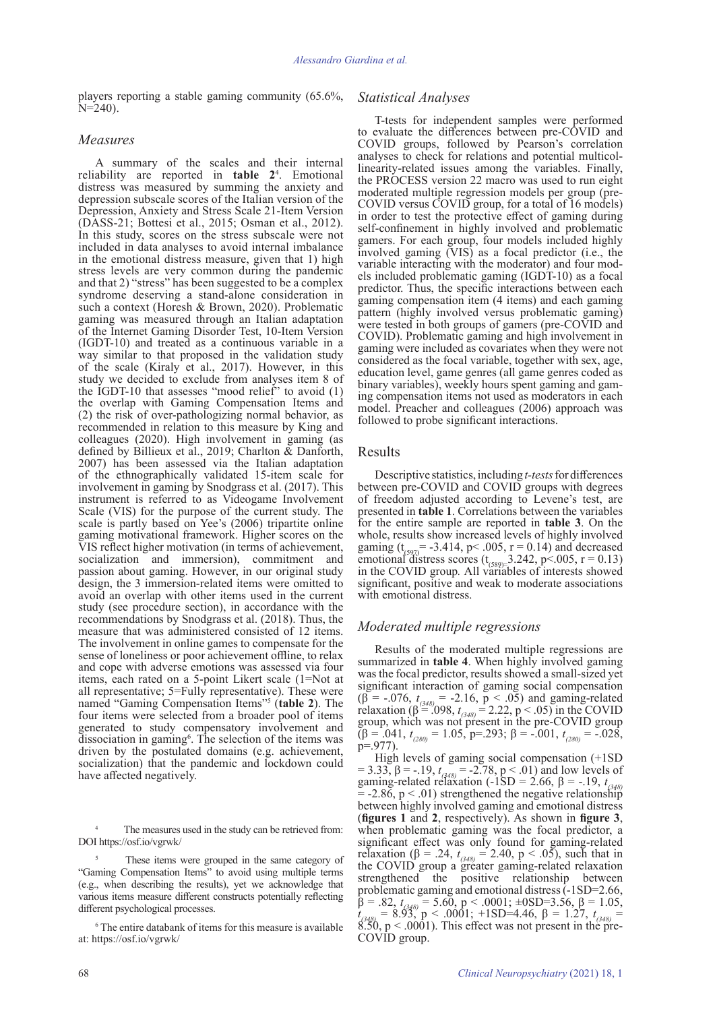players reporting a stable gaming community (65.6%,  $N=240$ ).

### *Measures*

A summary of the scales and their internal reliability are reported in **table 2**<sup>4</sup> . Emotional distress was measured by summing the anxiety and depression subscale scores of the Italian version of the Depression, Anxiety and Stress Scale 21-Item Version (DASS-21; Bottesi et al., 2015; Osman et al., 2012). In this study, scores on the stress subscale were not included in data analyses to avoid internal imbalance in the emotional distress measure, given that 1) high stress levels are very common during the pandemic and that 2) "stress" has been suggested to be a complex syndrome deserving a stand-alone consideration in such a context (Horesh & Brown, 2020). Problematic gaming was measured through an Italian adaptation of the Internet Gaming Disorder Test, 10-Item Version (IGDT-10) and treated as a continuous variable in a way similar to that proposed in the validation study of the scale (Kiraly et al., 2017). However, in this study we decided to exclude from analyses item 8 of the IGDT-10 that assesses "mood relief" to avoid (1) the overlap with Gaming Compensation Items and (2) the risk of over-pathologizing normal behavior, as recommended in relation to this measure by King and colleagues (2020). High involvement in gaming (as defined by Billieux et al., 2019; Charlton & Danforth, 2007) has been assessed via the Italian adaptation of the ethnographically validated 15-item scale for involvement in gaming by Snodgrass et al. (2017). This instrument is referred to as Videogame Involvement Scale (VIS) for the purpose of the current study. The scale is partly based on Yee's (2006) tripartite online gaming motivational framework. Higher scores on the VIS reflect higher motivation (in terms of achievement, socialization and immersion), commitment and passion about gaming. However, in our original study design, the 3 immersion-related items were omitted to avoid an overlap with other items used in the current study (see procedure section), in accordance with the recommendations by Snodgrass et al. (2018). Thus, the measure that was administered consisted of 12 items. The involvement in online games to compensate for the sense of loneliness or poor achievement offline, to relax and cope with adverse emotions was assessed via four items, each rated on a 5-point Likert scale (1=Not at all representative; 5=Fully representative). These were named "Gaming Compensation Items"5 (**table 2**). The four items were selected from a broader pool of items generated to study compensatory involvement and  $dissection$  in gaming<sup> $6$ </sup>. The selection of the items was driven by the postulated domains (e.g. achievement, socialization) that the pandemic and lockdown could have affected negatively.

The measures used in the study can be retrieved from: DOI https://osf.io/vgrwk/

These items were grouped in the same category of "Gaming Compensation Items" to avoid using multiple terms (e.g., when describing the results), yet we acknowledge that various items measure different constructs potentially reflecting different psychological processes.

6 The entire databank of items for this measure is available at: https://osf.io/vgrwk/

# *Statistical Analyses*

T-tests for independent samples were performed to evaluate the differences between pre-COVID and COVID groups, followed by Pearson's correlation analyses to check for relations and potential multicollinearity-related issues among the variables. Finally, the PROCESS version 22 macro was used to run eight moderated multiple regression models per group (pre-COVID versus COVID group, for a total of 16 models) in order to test the protective effect of gaming during self-confinement in highly involved and problematic gamers. For each group, four models included highly involved gaming (VIS) as a focal predictor (i.e., the variable interacting with the moderator) and four models included problematic gaming (IGDT-10) as a focal predictor. Thus, the specific interactions between each gaming compensation item (4 items) and each gaming pattern (highly involved versus problematic gaming) were tested in both groups of gamers (pre-COVID and COVID). Problematic gaming and high involvement in gaming were included as covariates when they were not considered as the focal variable, together with sex, age, education level, game genres (all game genres coded as binary variables), weekly hours spent gaming and gaming compensation items not used as moderators in each model. Preacher and colleagues (2006) approach was followed to probe significant interactions.

## Results

Descriptive statistics, including *t-tests* for differences between pre-COVID and COVID groups with degrees of freedom adjusted according to Levene's test, are presented in **table 1**. Correlations between the variables for the entire sample are reported in **table 3**. On the whole, results show increased levels of highly involved gaming  $(t_{(597)} = -3.414, p < .005, r = 0.14)$  and decreased emotional distress scores  $(t_{(589)=}$  3.242, p<.005, r = 0.13) in the COVID group*.* All variables of interests showed significant, positive and weak to moderate associations with emotional distress.

## *Moderated multiple regressions*

Results of the moderated multiple regressions are summarized in **table 4**. When highly involved gaming was the focal predictor, results showed a small-sized yet significant interaction of gaming social compensation (β = -.076,  $t_{(348)}$  = -2.16, p < .05) and gaming-related relaxation (β<sup>2</sup>=.098,  $t_{(348)}$  = 2.22, p < .05) in the COVID group, which was not present in the pre-COVID group (β = .041, *t (280)* = 1.05, p=.293; β = -.001, *t (280)* = -.028, p=.977).

High levels of gaming social compensation (+1SD = 3.33, β = -.19, *t*<sub>(348)</sub> = -2.78, p < .01) and low levels of gaming-related relaxation (-1SD = 2.66, β = -.19, *t*<sub>(348)</sub>  $= -2.86$ ,  $p < .01$ ) strengthened the negative relationship between highly involved gaming and emotional distress (**figures 1** and **2**, respectively). As shown in **figure 3**, when problematic gaming was the focal predictor, a significant effect was only found for gaming-related relaxation (β = .24,  $t_{(348)}$  = 2.40, p < .05), such that in the COVID group a greater gaming-related relaxation strengthened the positive relationship between problematic gaming and emotional distress (-1SD=2.66,  $β = .82, t<sub>6,348</sub> = 5.60, p < .0001; ±0SD=3.56, β = 1.05, t<sub>6448</sub> = 8.93, p < .0001; +1SD=4.46, β = 1.27, t<sub>648</sub> = 1.27$  $8.50, p < .0001$ ). This effect was not present in the pre-COVID group.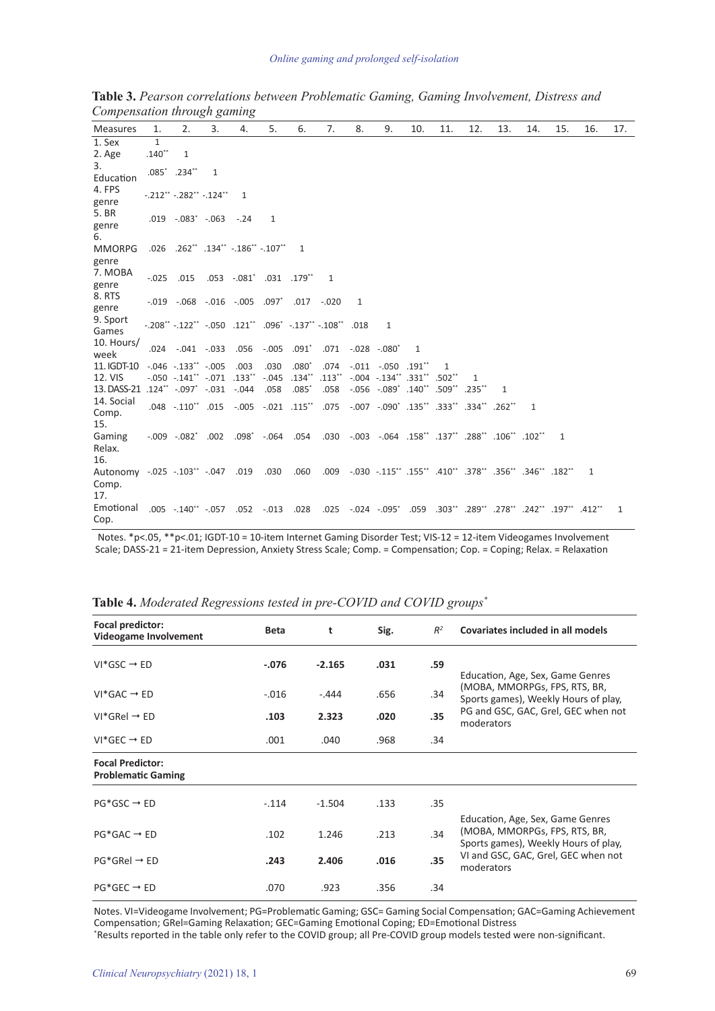| <b>Measures</b>                                   | 1.                       | 2.                                                                                        | 3. | 4.           | 5.           | 6.             | 7.        | 8. | 9.                                                                 | 10. | 11.           | 12. | 13. | 14. | 15.            | 16. | 17. |
|---------------------------------------------------|--------------------------|-------------------------------------------------------------------------------------------|----|--------------|--------------|----------------|-----------|----|--------------------------------------------------------------------|-----|---------------|-----|-----|-----|----------------|-----|-----|
| 1. Sex<br>2. Age                                  | $\mathbf{1}$<br>$.140**$ | 1                                                                                         |    |              |              |                |           |    |                                                                    |     |               |     |     |     |                |     |     |
| 3.<br>Education                                   |                          | $.085^*$ .234**                                                                           | 1  |              |              |                |           |    |                                                                    |     |               |     |     |     |                |     |     |
| 4. FPS<br>genre                                   |                          | $-.212$ ** $-.282$ ** $-.124$ **                                                          |    | $\mathbf{1}$ |              |                |           |    |                                                                    |     |               |     |     |     |                |     |     |
| 5. BR<br>genre<br>6.                              |                          | $.019$ $-.083$ $-.063$ $-.24$                                                             |    |              | $\mathbf{1}$ |                |           |    |                                                                    |     |               |     |     |     |                |     |     |
| <b>MMORPG</b>                                     |                          | .026 .262** .134** -.186** -.107**                                                        |    |              |              | $\overline{1}$ |           |    |                                                                    |     |               |     |     |     |                |     |     |
| genre<br>7. MOBA<br>genre                         |                          | $-0.025$ .015 .053 $-0.081$ .031 .179 <sup>*</sup>                                        |    |              |              |                | -1        |    |                                                                    |     |               |     |     |     |                |     |     |
| 8.RTS<br>genre                                    |                          | $-0.019$ $-0.068$ $-0.016$ $-0.005$ $0.097$ $-0.017$ $-0.020$                             |    |              |              |                |           | 1  |                                                                    |     |               |     |     |     |                |     |     |
| 9. Sport<br>Games                                 |                          | $-.208$ ** $-.122$ ** $-.050$ $.121$ ** $.096$ * $-.137$ ** $-.108$ ** $.018$             |    |              |              |                |           |    | 1                                                                  |     |               |     |     |     |                |     |     |
| 10. Hours/<br>week                                |                          | .024 -.041 -.033                                                                          |    |              | .056 -.005   | $.091^{\circ}$ |           |    | $.071-.028-.080$                                                   | -1  |               |     |     |     |                |     |     |
| 11. IGDT-10                                       |                          | $-.046-.133"-.005$                                                                        |    | .003         | .030         | $.080^*$       | .074      |    | $-.011-.050.191$ <sup>**</sup>                                     |     | 1             |     |     |     |                |     |     |
| 12. VIS                                           |                          | $-.050-.141$ $-.071.133$ $.33$                                                            |    |              | $-.045$      | $.134***$      | $.113$ ** |    | $-.004$ $-.134$ $.331$ $.502$ $.502$                               |     |               | 1   |     |     |                |     |     |
| 13. DASS-21                                       |                          | $.124$ <sup>**</sup> $-.097$ <sup>*</sup> $-.031$ $-.044$                                 |    |              | .058         | $.085*$        | .058      |    | $-.056-.089^*$ .140 <sup>**</sup>                                  |     | .509** .235** |     | 1   |     |                |     |     |
| 14. Social<br>Comp.<br>15.                        |                          | .048 -.110** .015 -.005 -.021 .115**                                                      |    |              |              |                |           |    | .135" .334" .007 -.090" .135" .333" .334" .262                     |     |               |     |     | 1   |                |     |     |
| Gaming                                            |                          | 102 **102. **288. **137. **138. 064. 003. 0.03. 0.54. 0.04. 0.09. 0.02. 0.02. 0.03. 0.09. |    |              |              |                |           |    |                                                                    |     |               |     |     |     | $\overline{1}$ |     |     |
| Relax.<br>16.                                     |                          |                                                                                           |    |              |              |                |           |    |                                                                    |     |               |     |     |     |                |     |     |
| Autonomy -.025 -.103** -.047 .019<br>Comp.<br>17. |                          |                                                                                           |    |              | .030         | .060           |           |    |                                                                    |     |               |     |     |     |                | 1   |     |
| Emotional<br>Cop.                                 |                          | .005 .140* -.057 .052 -.013 .028                                                          |    |              |              |                |           |    | .197** .197** .025 .024 .059 .303** .289** .278** .242** .025 .025 |     |               |     |     |     |                |     | 1   |

**Table 3.** *Pearson correlations between Problematic Gaming, Gaming Involvement, Distress and Compensation through gaming*

 Notes. \*p<.05, \*\*p<.01; IGDT-10 = 10-item Internet Gaming Disorder Test; VIS-12 = 12-item Videogames Involvement Scale; DASS-21 = 21-item Depression, Anxiety Stress Scale; Comp. = Compensation; Cop. = Coping; Relax. = Relaxation

| Focal predictor:<br>Videogame Involvement            | <b>Beta</b> | t        | Sig. | $R^2$ | Covariates included in all models                                                                         |
|------------------------------------------------------|-------------|----------|------|-------|-----------------------------------------------------------------------------------------------------------|
| $VI*GSC \rightarrow ED$                              | $-.076$     | $-2.165$ | .031 | .59   | Education, Age, Sex, Game Genres                                                                          |
| $VI*GAC \rightarrow ED$                              | $-.016$     | -.444    | .656 | .34   | (MOBA, MMORPGs, FPS, RTS, BR,<br>Sports games), Weekly Hours of play,                                     |
| $VI^*GRel \rightarrow ED$                            | .103        | 2.323    | .020 | .35   | PG and GSC, GAC, Grel, GEC when not<br>moderators                                                         |
| $VI*GEC \rightarrow ED$                              | .001        | .040     | .968 | .34   |                                                                                                           |
| <b>Focal Predictor:</b><br><b>Problematic Gaming</b> |             |          |      |       |                                                                                                           |
| $PG*GSC \rightarrow ED$                              | $-.114$     | $-1.504$ | .133 | .35   |                                                                                                           |
| $PG*GAC \rightarrow ED$                              | .102        | 1.246    | .213 | .34   | Education, Age, Sex, Game Genres<br>(MOBA, MMORPGs, FPS, RTS, BR,<br>Sports games), Weekly Hours of play, |
| $PG*GRel \rightarrow ED$                             | .243        | 2.406    | .016 | .35   | VI and GSC, GAC, Grel, GEC when not<br>moderators                                                         |
| $PG*GEC \rightarrow ED$                              | .070        | .923     | .356 | .34   |                                                                                                           |

**Table 4.** *Moderated Regressions tested in pre-COVID and COVID groups\**

Notes. VI=Videogame Involvement; PG=Problematic Gaming; GSC= Gaming Social Compensation; GAC=Gaming Achievement Compensation; GRel=Gaming Relaxation; GEC=Gaming Emotional Coping; ED=Emotional Distress \* Results reported in the table only refer to the COVID group; all Pre-COVID group models tested were non-significant.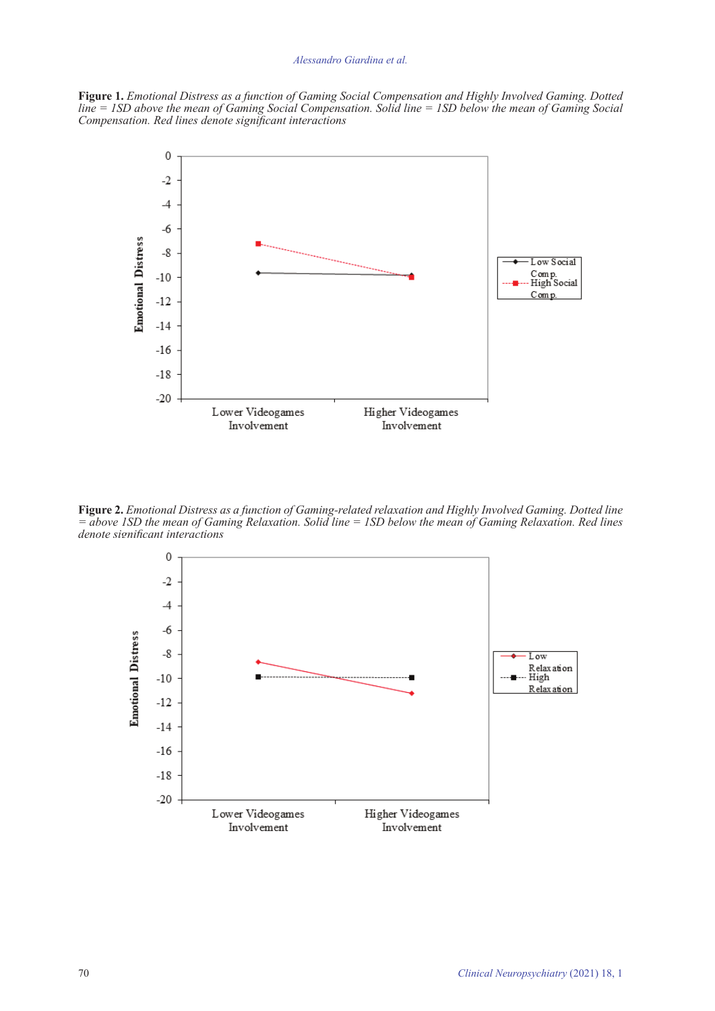# *Alessandro Giardina et al.*

**Figure 1.** *Emotional Distress as a function of Gaming Social Compensation and Highly Involved Gaming. Dotted line = 1SD above the mean of Gaming Social Compensation. Solid line = 1SD below the mean of Gaming Social Compensation. Red lines denote significant interactions*



**Figure 2.** *Emotional Distress as a function of Gaming-related relaxation and Highly Involved Gaming. Dotted line = above 1SD the mean of Gaming Relaxation. Solid line = 1SD below the mean of Gaming Relaxation. Red lines denote significant interactions*

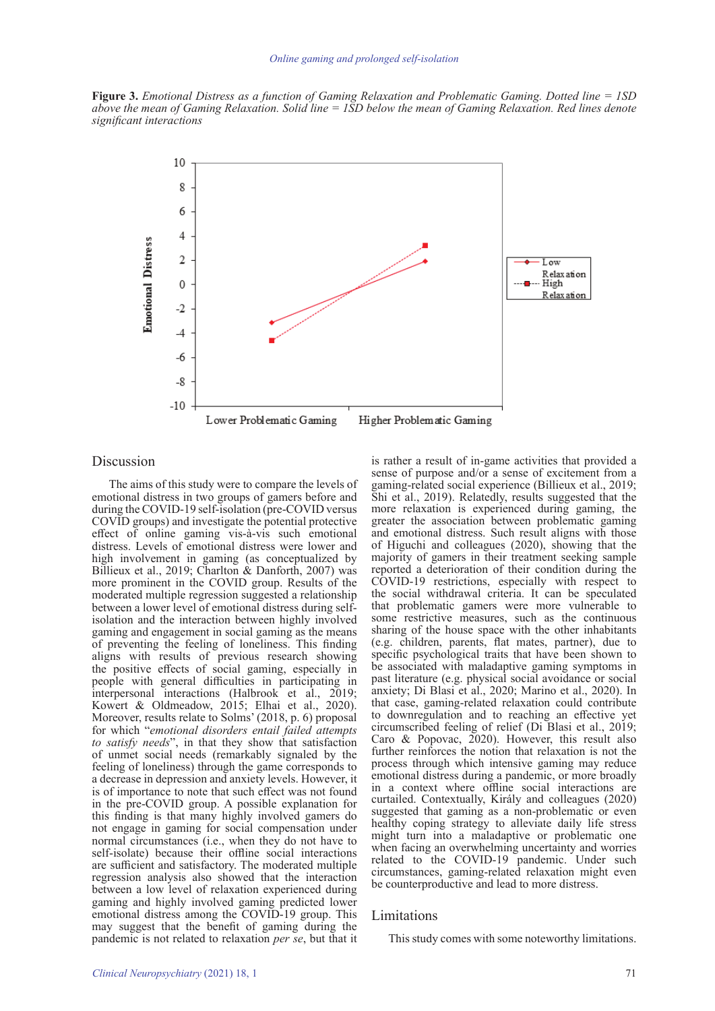**Figure 3.** *Emotional Distress as a function of Gaming Relaxation and Problematic Gaming. Dotted line = 1SD above the mean of Gaming Relaxation. Solid line = 1SD below the mean of Gaming Relaxation. Red lines denote significant interactions*



#### Discussion

The aims of this study were to compare the levels of emotional distress in two groups of gamers before and during the COVID-19 self-isolation (pre-COVID versus COVID groups) and investigate the potential protective effect of online gaming vis-à-vis such emotional distress. Levels of emotional distress were lower and high involvement in gaming (as conceptualized by Billieux et al., 2019; Charlton & Danforth, 2007) was more prominent in the COVID group. Results of the moderated multiple regression suggested a relationship between a lower level of emotional distress during selfisolation and the interaction between highly involved gaming and engagement in social gaming as the means of preventing the feeling of loneliness. This finding aligns with results of previous research showing the positive effects of social gaming, especially in people with general difficulties in participating in interpersonal interactions (Halbrook et al., 2019; Kowert & Oldmeadow, 2015; Elhai et al., 2020). Moreover, results relate to Solms' (2018, p. 6) proposal for which "*emotional disorders entail failed attempts to satisfy needs*", in that they show that satisfaction of unmet social needs (remarkably signaled by the feeling of loneliness) through the game corresponds to a decrease in depression and anxiety levels. However, it is of importance to note that such effect was not found in the pre-COVID group. A possible explanation for this finding is that many highly involved gamers do not engage in gaming for social compensation under normal circumstances (i.e., when they do not have to self-isolate) because their offline social interactions are sufficient and satisfactory. The moderated multiple regression analysis also showed that the interaction between a low level of relaxation experienced during gaming and highly involved gaming predicted lower emotional distress among the COVID-19 group. This may suggest that the benefit of gaming during the pandemic is not related to relaxation *per se*, but that it

is rather a result of in-game activities that provided a sense of purpose and/or a sense of excitement from a gaming-related social experience (Billieux et al., 2019; Shi et al., 2019). Relatedly, results suggested that the more relaxation is experienced during gaming, the greater the association between problematic gaming and emotional distress. Such result aligns with those of Higuchi and colleagues (2020), showing that the majority of gamers in their treatment seeking sample reported a deterioration of their condition during the COVID-19 restrictions, especially with respect to the social withdrawal criteria. It can be speculated that problematic gamers were more vulnerable to some restrictive measures, such as the continuous sharing of the house space with the other inhabitants (e.g. children, parents, flat mates, partner), due to specific psychological traits that have been shown to be associated with maladaptive gaming symptoms in past literature (e.g. physical social avoidance or social anxiety; Di Blasi et al., 2020; Marino et al., 2020). In that case, gaming-related relaxation could contribute to downregulation and to reaching an effective yet circumscribed feeling of relief (Di Blasi et al., 2019; Caro & Popovac, 2020). However, this result also further reinforces the notion that relaxation is not the process through which intensive gaming may reduce emotional distress during a pandemic, or more broadly in a context where offline social interactions are curtailed. Contextually, Király and colleagues (2020) suggested that gaming as a non-problematic or even healthy coping strategy to alleviate daily life stress might turn into a maladaptive or problematic one when facing an overwhelming uncertainty and worries related to the COVID-19 pandemic. Under such circumstances, gaming-related relaxation might even be counterproductive and lead to more distress.

### Limitations

This study comes with some noteworthy limitations.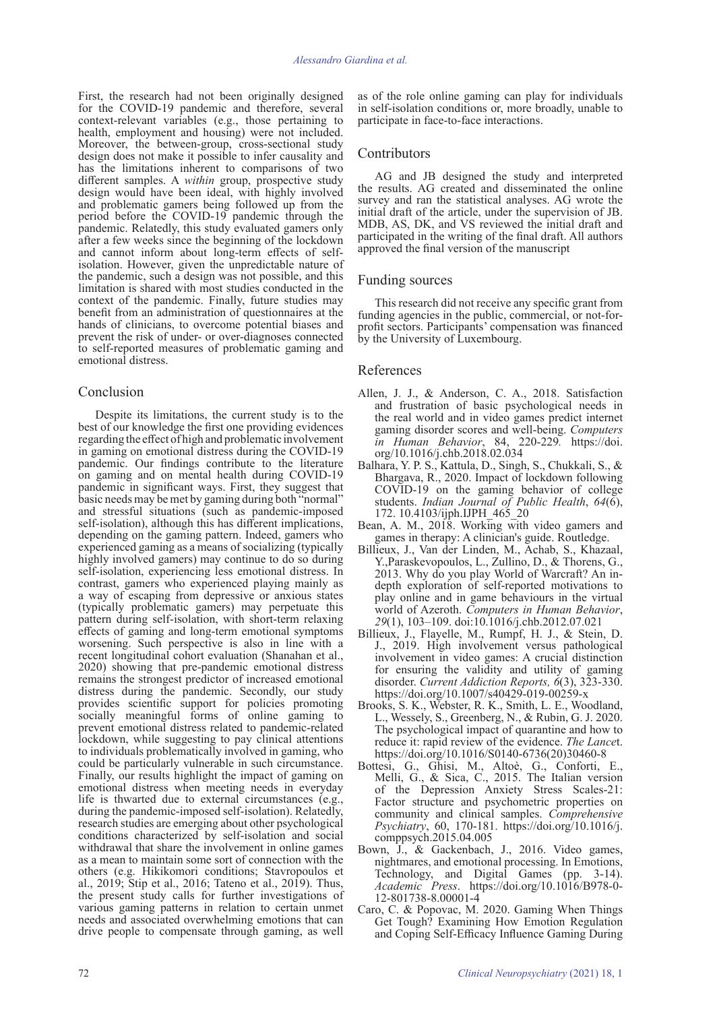First, the research had not been originally designed for the COVID-19 pandemic and therefore, several context-relevant variables (e.g., those pertaining to health, employment and housing) were not included. Moreover, the between-group, cross-sectional study design does not make it possible to infer causality and has the limitations inherent to comparisons of two different samples. A *within* group, prospective study design would have been ideal, with highly involved and problematic gamers being followed up from the period before the COVID-19 pandemic through the pandemic. Relatedly, this study evaluated gamers only after a few weeks since the beginning of the lockdown and cannot inform about long-term effects of selfisolation. However, given the unpredictable nature of the pandemic, such a design was not possible, and this limitation is shared with most studies conducted in the context of the pandemic. Finally, future studies may benefit from an administration of questionnaires at the hands of clinicians, to overcome potential biases and prevent the risk of under- or over-diagnoses connected to self-reported measures of problematic gaming and emotional distress.

# Conclusion

Despite its limitations, the current study is to the best of our knowledge the first one providing evidences regarding the effect of high and problematic involvement in gaming on emotional distress during the COVID-19 pandemic. Our findings contribute to the literature on gaming and on mental health during COVID-19 pandemic in significant ways. First, they suggest that basic needs may be met by gaming during both "normal" and stressful situations (such as pandemic-imposed self-isolation), although this has different implications, depending on the gaming pattern. Indeed, gamers who experienced gaming as a means of socializing (typically highly involved gamers) may continue to do so during self-isolation, experiencing less emotional distress. In contrast, gamers who experienced playing mainly as a way of escaping from depressive or anxious states (typically problematic gamers) may perpetuate this pattern during self-isolation, with short-term relaxing effects of gaming and long-term emotional symptoms worsening. Such perspective is also in line with a recent longitudinal cohort evaluation (Shanahan et al., 2020) showing that pre-pandemic emotional distress remains the strongest predictor of increased emotional distress during the pandemic. Secondly, our study provides scientific support for policies promoting socially meaningful forms of online gaming to prevent emotional distress related to pandemic-related lockdown, while suggesting to pay clinical attentions to individuals problematically involved in gaming, who could be particularly vulnerable in such circumstance. Finally, our results highlight the impact of gaming on emotional distress when meeting needs in everyday life is thwarted due to external circumstances (e.g., during the pandemic-imposed self-isolation). Relatedly, research studies are emerging about other psychological conditions characterized by self-isolation and social withdrawal that share the involvement in online games as a mean to maintain some sort of connection with the others (e.g. Hikikomori conditions; Stavropoulos et al., 2019; Stip et al., 2016; Tateno et al., 2019). Thus, the present study calls for further investigations of various gaming patterns in relation to certain unmet needs and associated overwhelming emotions that can drive people to compensate through gaming, as well

as of the role online gaming can play for individuals in self-isolation conditions or, more broadly, unable to participate in face-to-face interactions.

## **Contributors**

AG and JB designed the study and interpreted the results. AG created and disseminated the online survey and ran the statistical analyses. AG wrote the initial draft of the article, under the supervision of JB. MDB, AS, DK, and VS reviewed the initial draft and participated in the writing of the final draft. All authors approved the final version of the manuscript

### Funding sources

This research did not receive any specific grant from funding agencies in the public, commercial, or not-forprofit sectors. Participants' compensation was financed by the University of Luxembourg.

### References

- Allen, J. J., & Anderson, C. A., 2018. Satisfaction and frustration of basic psychological needs in the real world and in video games predict internet gaming disorder scores and well-being. *Computers in Human Behavior*, 84, 220-229*.* https://doi. org/10.1016/j.chb.2018.02.034
- Balhara, Y. P. S., Kattula, D., Singh, S., Chukkali, S., & Bhargava, R., 2020. Impact of lockdown following COVID-19 on the gaming behavior of college students. *Indian Journal of Public Health*, *64*(6), 172. 10.4103/ijph.IJPH\_465\_20
- Bean, A. M., 2018. Working with video gamers and games in therapy: A clinician's guide. Routledge.
- Billieux, J., Van der Linden, M., Achab, S., Khazaal, Y.,Paraskevopoulos, L., Zullino, D., & Thorens, G., 2013. Why do you play World of Warcraft? An indepth exploration of self-reported motivations to play online and in game behaviours in the virtual world of Azeroth. *Computers in Human Behavior*, *29*(1), 103–109. doi:10.1016/j.chb.2012.07.021
- Billieux, J., Flayelle, M., Rumpf, H. J., & Stein, D. J., 2019. High involvement versus pathological involvement in video games: A crucial distinction for ensuring the validity and utility of gaming disorder. *Current Addiction Reports, 6*(3), 323-330. https://doi.org/10.1007/s40429-019-00259-x
- Brooks, S. K., Webster, R. K., Smith, L. E., Woodland, L., Wessely, S., Greenberg, N., & Rubin, G. J. 2020. The psychological impact of quarantine and how to reduce it: rapid review of the evidence. *The Lance*t. https://doi.org/10.1016/S0140-6736(20)30460-8
- Bottesi, G., Ghisi, M., Altoè, G., Conforti, E., Melli, G., & Sica, C., 2015. The Italian version of the Depression Anxiety Stress Scales-21: Factor structure and psychometric properties on community and clinical samples. *Comprehensive Psychiatry*, 60, 170-181. https://doi.org/10.1016/j. comppsych.2015.04.005
- Bown, J., & Gackenbach, J., 2016. Video games, nightmares, and emotional processing. In Emotions, Technology, and Digital Games (pp. 3-14). *Academic Press*. https://doi.org/10.1016/B978-0- 12-801738-8.00001-4
- Caro, C. & Popovac, M. 2020. Gaming When Things Get Tough? Examining How Emotion Regulation and Coping Self-Efficacy Influence Gaming During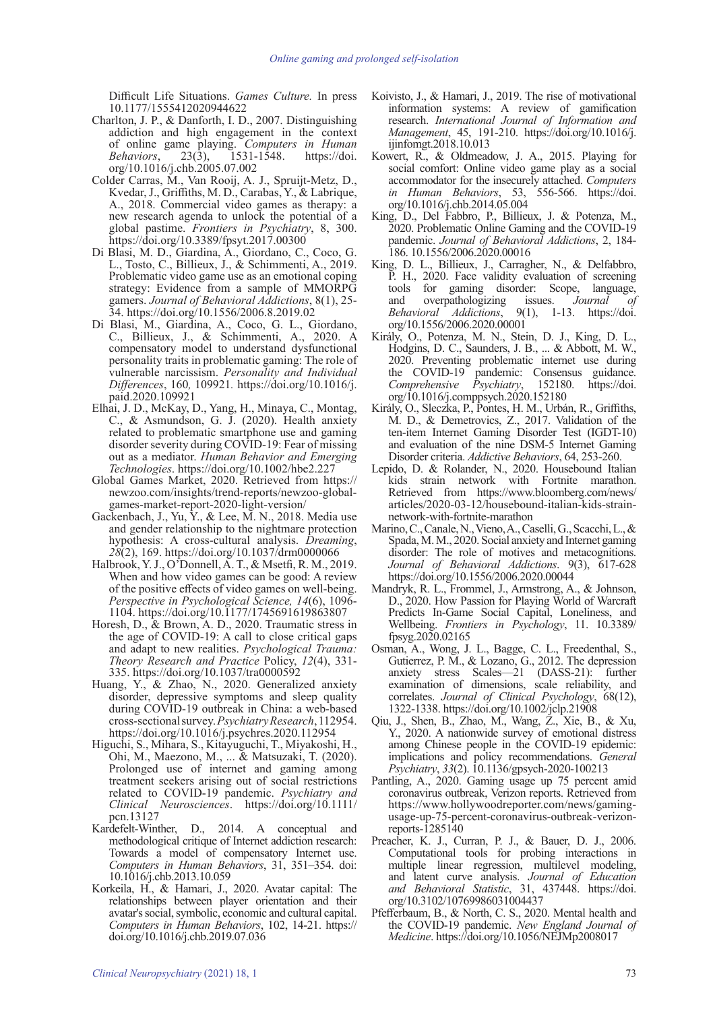Difficult Life Situations. *Games Culture.* In press 10.1177/1555412020944622

- Charlton, J. P., & Danforth, I. D., 2007. Distinguishing addiction and high engagement in the context of online game playing. *Computers in Human Behaviors*, 23(3), 1531-1548. https://doi. org/10.1016/j.chb.2005.07.002
- Colder Carras, M., Van Rooij, A. J., Spruijt-Metz, D., Kvedar, J., Griffiths, M. D., Carabas, Y., & Labrique, A., 2018. Commercial video games as therapy: a new research agenda to unlock the potential of a global pastime. *Frontiers in Psychiatry*, 8, 300. https://doi.org/10.3389/fpsyt.2017.00300
- Di Blasi, M. D., Giardina, A., Giordano, C., Coco, G. L., Tosto, C., Billieux, J., & Schimmenti, A., 2019. Problematic video game use as an emotional coping strategy: Evidence from a sample of MMORPG gamers. *Journal of Behavioral Addictions*, 8(1), 25- 34. https://doi.org/10.1556/2006.8.2019.02
- Di Blasi, M., Giardina, A., Coco, G. L., Giordano, C., Billieux, J., & Schimmenti, A., 2020. A compensatory model to understand dysfunctional personality traits in problematic gaming: The role of vulnerable narcissism. *Personality and Individual Differences*, 160*,* 109921*.* https://doi.org/10.1016/j. paid.2020.109921
- Elhai, J. D., McKay, D., Yang, H., Minaya, C., Montag, C., & Asmundson, G. J. (2020). Health anxiety related to problematic smartphone use and gaming disorder severity during COVID‐19: Fear of missing out as a mediator. *Human Behavior and Emerging Technologies*. https://doi.org/10.1002/hbe2.227
- Global Games Market, 2020. Retrieved from https:// newzoo.com/insights/trend-reports/newzoo-globalgames-market-report-2020-light-version/
- Gackenbach, J., Yu, Y., & Lee, M. N., 2018. Media use and gender relationship to the nightmare protection hypothesis: A cross-cultural analysis. *Dreaming*, *28*(2), 169. https://doi.org/10.1037/drm0000066
- Halbrook, Y. J., O'Donnell, A. T., & Msetfi, R. M., 2019. When and how video games can be good: A review of the positive effects of video games on well-being. *Perspective in Psychological Science, 14*(6), 1096- 1104. https://doi.org/10.1177/1745691619863807
- Horesh, D., & Brown, A. D., 2020. Traumatic stress in the age of COVID-19: A call to close critical gaps and adapt to new realities. *Psychological Trauma: Theory Research and Practice* Policy, *12*(4), 331- 335. https://doi.org/10.1037/tra0000592
- Huang, Y., & Zhao, N., 2020. Generalized anxiety disorder, depressive symptoms and sleep quality during COVID-19 outbreak in China: a web-based cross-sectional survey. *Psychiatry Research*, 112954. https://doi.org/10.1016/j.psychres.2020.112954
- Higuchi, S., Mihara, S., Kitayuguchi, T., Miyakoshi, H., Ohi, M., Maezono, M., ... & Matsuzaki, T. (2020). Prolonged use of internet and gaming among treatment seekers arising out of social restrictions related to COVID‐19 pandemic. *Psychiatry and Clinical Neurosciences*. https://doi.org/10.1111/ pcn.13127
- Kardefelt-Winther, D., 2014. A conceptual and methodological critique of Internet addiction research: Towards a model of compensatory Internet use. *Computers in Human Behaviors*, 31, 351–354. doi: 10.1016/j.chb.2013.10.059
- Korkeila, H., & Hamari, J., 2020. Avatar capital: The relationships between player orientation and their avatar's social, symbolic, economic and cultural capital. *Computers in Human Behaviors*, 102, 14-21. https:// doi.org/10.1016/j.chb.2019.07.036
- Koivisto, J., & Hamari, J., 2019. The rise of motivational information systems: A review of gamification research. *International Journal of Information and Management*, 45, 191-210. https://doi.org/10.1016/j. ijinfomgt.2018.10.013
- Kowert, R., & Oldmeadow, J. A., 2015. Playing for social comfort: Online video game play as a social accommodator for the insecurely attached. *Computers in Human Behaviors*, 53, 556-566. https://doi. org/10.1016/j.chb.2014.05.004
- King, D., Del Fabbro, P., Billieux, J. & Potenza, M., 2020. Problematic Online Gaming and the COVID-19 pandemic. *Journal of Behavioral Addictions*, 2, 184- 186. 10.1556/2006.2020.00016
- King, D. L., Billieux, J., Carragher, N., & Delfabbro, P. H., 2020. Face validity evaluation of screening tools for gaming disorder: Scope, language, and overpathologizing issues. *Journal of Behavioral Addictions*, 9(1), 1-13. https://doi. *Behavioral Addictions*, org/10.1556/2006.2020.00001
- Király, O., Potenza, M. N., Stein, D. J., King, D. L., Hodgins, D. C., Saunders, J. B., ... & Abbott, M. W., 2020. Preventing problematic internet use during the COVID-19 pandemic: Consensus guidance. *Comprehensive Psychiatry*, 152180. https://doi. org/10.1016/j.comppsych.2020.152180
- Király, O., Sleczka, P., Pontes, H. M., Urbán, R., Griffiths, M. D., & Demetrovics, Z., 2017. Validation of the ten-item Internet Gaming Disorder Test (IGDT-10) and evaluation of the nine DSM-5 Internet Gaming Disorder criteria. *Addictive Behaviors*, 64, 253-260.
- Lepido, D. & Rolander, N., 2020. Housebound Italian kids strain network with Fortnite marathon. Retrieved from https://www.bloomberg.com/news/ articles/2020-03-12/housebound-italian-kids-strainnetwork-with-fortnite-marathon
- Marino, C., Canale, N., Vieno, A., Caselli, G., Scacchi, L., & Spada, M. M., 2020. Social anxiety and Internet gaming disorder: The role of motives and metacognitions. *Journal of Behavioral Addictions*. 9(3), 617-628 https://doi.org/10.1556/2006.2020.00044
- Mandryk, R. L., Frommel, J., Armstrong, A., & Johnson, D., 2020. How Passion for Playing World of Warcraft Predicts In-Game Social Capital, Loneliness, and Wellbeing. *Frontiers in Psychology*, 11. 10.3389/ fpsyg.2020.02165
- Osman, A., Wong, J. L., Bagge, C. L., Freedenthal, S., Gutierrez, P. M., & Lozano, G., 2012. The depression anxiety stress Scales—21 (DASS‐21): further examination of dimensions, scale reliability, and correlates. *Journal of Clinical Psychology*, 68(12), 1322-1338. https://doi.org/10.1002/jclp.21908
- Qiu, J., Shen, B., Zhao, M., Wang, Z., Xie, B., & Xu, Y., 2020. A nationwide survey of emotional distress among Chinese people in the COVID-19 epidemic: implications and policy recommendations. *General Psychiatry*, *33*(2). 10.1136/gpsych-2020-100213
- Pantling, A., 2020. Gaming usage up 75 percent amid coronavirus outbreak, Verizon reports. Retrieved from https://www.hollywoodreporter.com/news/gamingusage-up-75-percent-coronavirus-outbreak-verizonreports-1285140
- Preacher, K. J., Curran, P. J., & Bauer, D. J., 2006. Computational tools for probing interactions in multiple linear regression, multilevel modeling, and latent curve analysis. *Journal of Education and Behavioral Statistic*, 31, 437448. https://doi. org/10.3102/10769986031004437
- Pfefferbaum, B., & North, C. S., 2020. Mental health and the COVID-19 pandemic. *New England Journal of Medicine*. https://doi.org/10.1056/NEJMp2008017